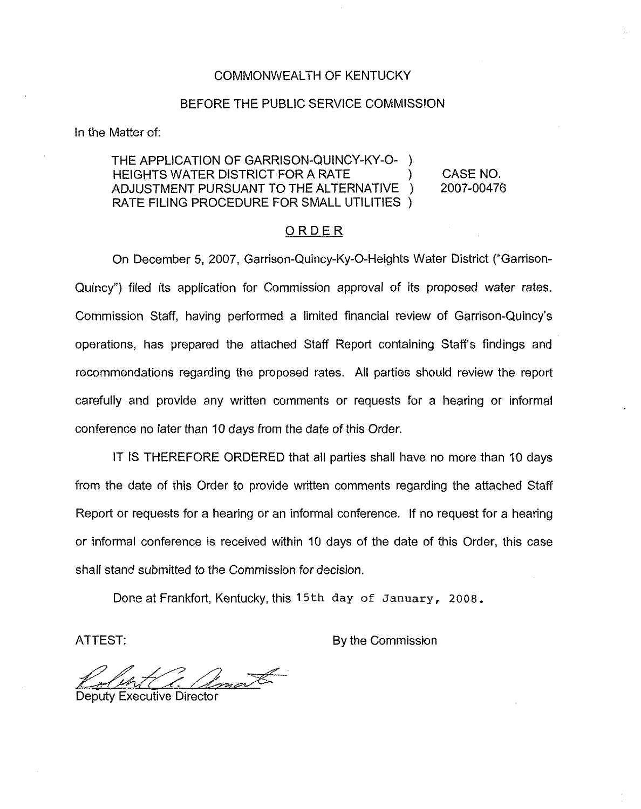#### COMMONWEALTH OF KENTUCKY

#### BEFORE THE PUBLIC SERVICE COMMISSION

In the Matter of:

### THE APPLICATION OF GARRISON-QUINCY-KY-O-HEIGHTS WATER DISTRICT FOR A RATE (A SAME) CASE NO.<br>ADJUSTMENT PURSUANT TO THE ALTERNATIVE (2007-00476) ADJUSTMENT PURSUANT TO THE ALTERNATIVE ) RATE FILING PROCEDURE FOR SMALL UTILITIES )

### ORDER

On December 5, 2007, Garrison-Quincy-Ky-0-Heights Water District ("Garrison-Quincy") filed its appiication for Commission approval of its proposed water rates. Commission Staff, having performed a limited financial review of Garrison-Quincy's operations, has prepared the attached Staff Report containing Staff's findings and recommendations regarding the proposed rates. All parties should review the report carefully and provide any written comments or requests for a hearing or informal conference no iater than 10 days from the date of this Order.

IT IS THEREFORE ORDERED that all parties shall have no more than 10 days from the date of this Order to provide written comments regarding the attached Staff Report or requests for a hearing or an informal conference. If no request for a hearing or informal conference is received within 10 days of the date of this Order, this case shall stand submitted to the Commission for decision.

Done at Frankfort, Kentucky, this <sup>1</sup> 5th day of January, 2008.

ATTEST: By the Commission

Deputy Executive Director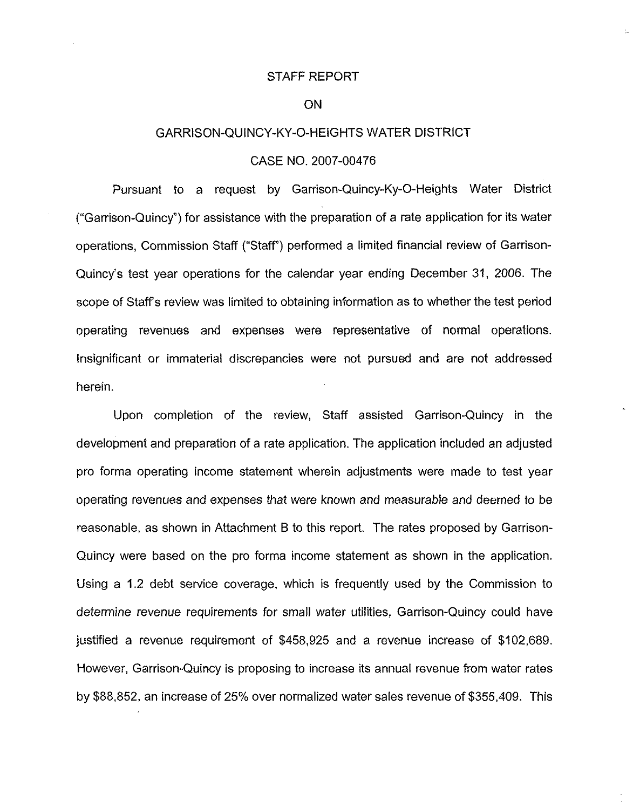#### STAFF REPORT

### ON

#### GARRISON-QUINCY-KY-0-HEIGHTS WATER DISTRICT

#### CASE NO. 2007-00476

Pursuant to a request by Garrison-Quincy-Ky-0-Heights Water District ("Garrison-Quincy") for assistance with the preparation of a rate application for its water operations, Commission Staff ("Staff") performed a limited financial review of Garrison-Quincy's test year operations for the calendar year ending December 31, 2006. The scope of Staff's review was limited to obtaining information as to whether the test period operating revenues and expenses were representative of normal operations. Insignificant or immaterial discrepancies were not pursued and are not addressed herein.

Upon completion of the review, Staff assisted Garrison-Quincy in the development and preparation of a rate application. The application included an adjusted pro forma operating income statement wherein adjustments were made to test year operating revenues and expenses that were known and measurable and deemed to be reasonable, as shown in Attachment B to this report. The rates proposed by Garrison-Quincy were based on the pro forma income statement as shown in the application. Using a 1.2 debt service coverage, which is frequently used by the Commission to determine revenue requirements for small water utilities, Garrison-Quincy could have justified a revenue requirement of \$458,925 and a revenue increase of \$102,689. However, Garrison-Quincy is proposing to increase its annual revenue from water rates by \$88,852, an increase of 25% over normalized water sales revenue of \$355,409. This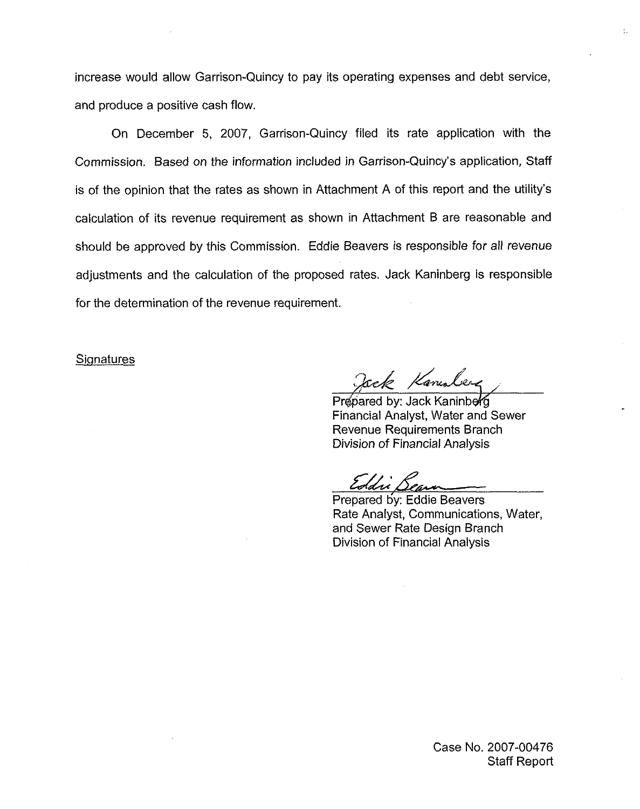increase would allow Garrison-Quincy to pay its operating expenses and debt service, and produce a positive cash flow.

On December 5, 2007, Garrison-Quincy filed its rate application with the Commission. Based on the information included in Garrison-Quincy's application, Staff is of the opinion that the rates as shown in Attachment A of this report and the utility's calculation of its revenue requirement as shown in Attachment B are reasonable and should be approved by this Commission. Eddie Beavers is responsible for all revenue adjustments and the calculation of the proposed rates. Jack Kaninberg is responsible for the determination of the revenue requirement,

#### **Signatures**

ack Kanules

ŧ.

Prepared by: Jack Kaninbefg Financial Analyst, Water and Sewer Revenue Requirements Branch Division of Financial Analysis

Eddie Beau

Prepared by: Eddie Beavers Rate Analyst, Communications, Water, and Sewer Rate Design Branch Division of Financial Analysis

Case No. 2007-00476 Staff Report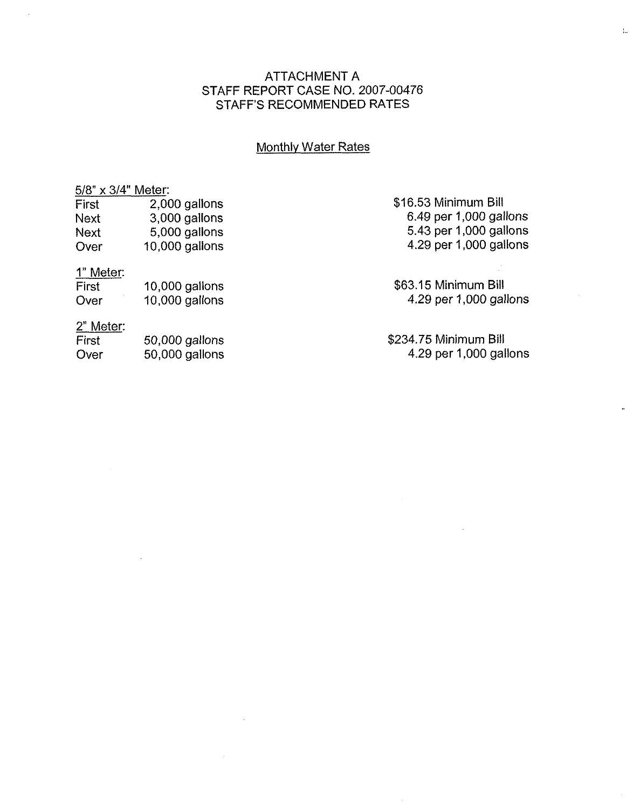# ATTACHMENT A STAFF REPORT CASE NO. 2007-00476 STAFF'S RECOMMENDED RATES

# **Monthly Water Rates**

## 5/8" x 3/4" Meter:

| First | 2,000 gallons    |
|-------|------------------|
| Next  | 3,000 gallons    |
| Next  | 5,000 gallons    |
| Over  | $10,000$ gallons |

# 1" Meter:

| First | $10,000$ gallons |
|-------|------------------|
| Over  | $10,000$ gallons |

# 2" Meter:

| First | 50,000 gallons |
|-------|----------------|
| Over  | 50,000 gallons |

\$16.53Minimum Bill 6.49 per 1,000 gallons 5.43 per 1,000 gallons 4.29 per 1,000 gallons

\$63.15 Minimum Bill 4.29 per 1,000 gallons

\$234.?5 Minimum Bill 4.29 per 1,000 gallons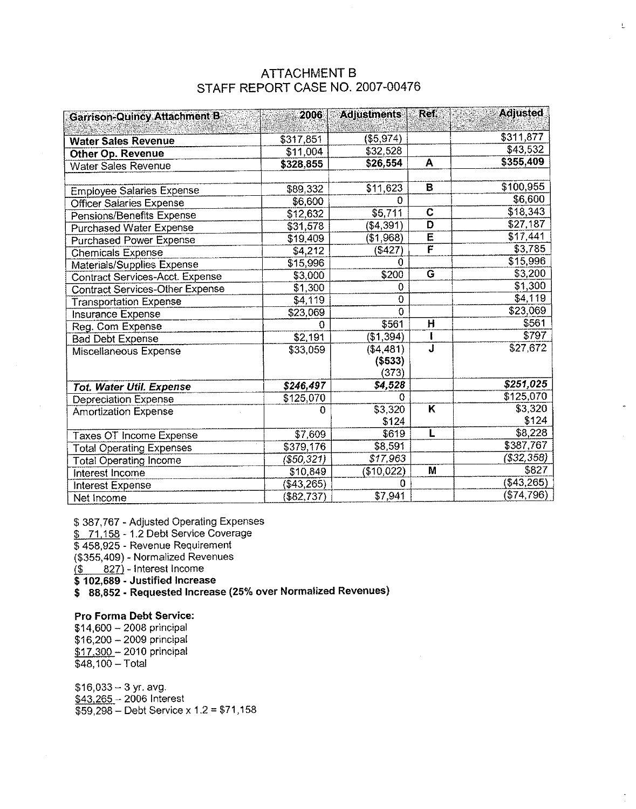| <b>ATTACHMENT B</b>              |
|----------------------------------|
| STAFF REPORT CASE NO. 2007-00476 |

 $\mathbf{L}$ 

| <b>Garrison-Quincy Attachment B</b>    | 2006          | <b>Adjustments</b> | Ref.                    | <b>Adjusted</b> |
|----------------------------------------|---------------|--------------------|-------------------------|-----------------|
|                                        |               |                    |                         |                 |
| <b>Water Sales Revenue</b>             | \$317,851     | (\$5,974)          |                         | \$311,877       |
| Other Op. Revenue                      | \$11,004      | \$32,528           |                         | \$43,532        |
| <b>Water Sales Revenue</b>             | \$328,855     | \$26,554           | A                       | \$355,409       |
|                                        |               |                    |                         |                 |
| <b>Employee Salaries Expense</b>       | \$89,332      | \$11,623           | $\overline{B}$          | \$100,955       |
| <b>Officer Salaries Expense</b>        | \$6,600       | $\Omega$           |                         | \$6,600         |
| Pensions/Benefits Expense              | \$12,632      | \$5,711            | $\overline{c}$          | \$18,343        |
| <b>Purchased Water Expense</b>         | \$31,578      | (\$4,391)          | D                       | \$27,187        |
| <b>Purchased Power Expense</b>         | \$19,409      | (\$1,968)          | $\overline{\mathsf{E}}$ | \$17,441        |
| <b>Chemicals Expense</b>               | \$4,212       | (\$427)            | $\overline{\mathbf{F}}$ | \$3,785         |
| Materials/Supplies Expense             | \$15,996      | O                  |                         | \$15,996        |
| <b>Contract Services-Acct. Expense</b> | \$3,000       | \$200              | G                       | \$3,200         |
| <b>Contract Services-Other Expense</b> | \$1,300       | 0                  |                         | \$1,300         |
| <b>Transportation Expense</b>          | \$4,119       | $\mathbf 0$        |                         | \$4,119         |
| Insurance Expense                      | \$23,069      | $\mathbf 0$        |                         | \$23,069        |
| Reg. Com Expense                       | $\Omega$      | \$561              | H                       | \$561           |
| <b>Bad Debt Expense</b>                | \$2,191       | (\$1,394)          |                         | \$797           |
| Miscellaneous Expense                  | \$33,059      | (\$4,481)          | $\overline{\mathbf{J}}$ | \$27,672        |
|                                        |               | (\$533)            |                         |                 |
|                                        |               | (373)              |                         |                 |
| Tot. Water Util. Expense               | \$246,497     | \$4,528            |                         | \$251,025       |
| <b>Depreciation Expense</b>            | \$125,070     | o                  |                         | \$125,070       |
| <b>Amortization Expense</b>            | $\Omega$      | \$3,320            | Κ                       | \$3,320         |
|                                        |               | \$124              |                         | \$124           |
| Taxes OT Income Expense                | \$7,609       | \$619              | L                       | \$8,228         |
| <b>Total Operating Expenses</b>        | \$379,176     | \$8,591            |                         | \$387,767       |
| <b>Total Operating Income</b>          | $($ \$50,321) | \$17,963           |                         | $($ \$32,358)   |
| Interest Income                        | \$10,849      | (\$10,022)         | M                       | \$827           |
| Interest Expense                       | (\$43,265)    | n                  |                         | ( \$43,265)     |
| Net Income                             | (\$82,737)    | \$7,941            |                         | (\$74,796)      |

\$ 387,767 - Adjusted Operating Expenses

\$ 71,158 - 1.2 Debt Service Coverage

 $$$  458,925 - Revenue Requireme

(\$355,409) - Normalized Revenues

 $($ \$  $827)$  - Interest Income

\$102,689 - Justified Increase

\$ 88,852 - Requested Increase (25% over Normalized Revenues)

#### Pro Forma Debt Service:

\$14,600 —2008 principal \$16,200 —2009 principal \$17.300 - 2010 principa  $\overline{\$48, 100} - \text{Total}$ 

\$16,033—3 yr. avg. \$43 <sup>265</sup> —<sup>2006</sup> Interest  $$59,298 -$  Debt Service x 1.2 = \$71,158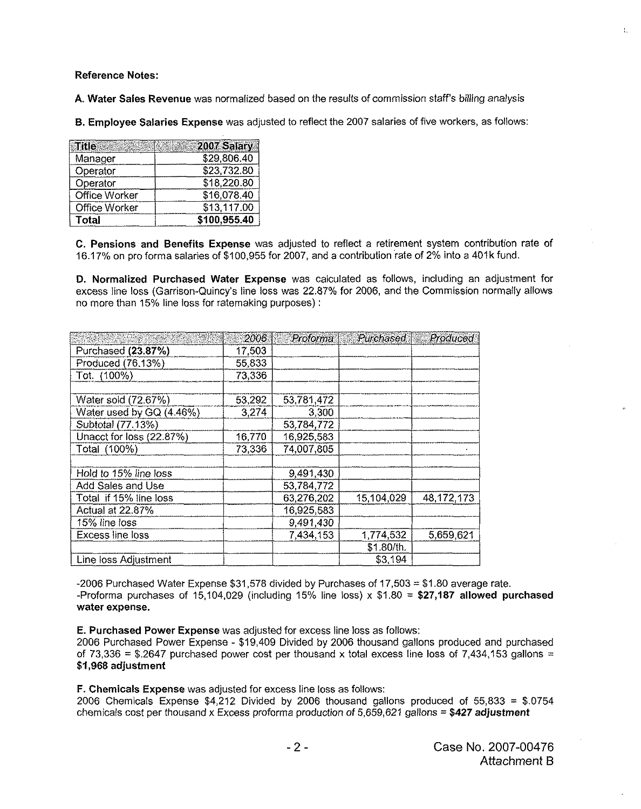Reference Notes:

A. Water Saies Revenue was normalized based on the results of commission staff's billing analysis

B.Employee Salaries Expense was adjusted to reflect the 2007 salaries of five workers, as follows:

| ⊺itle∶               | 2007 Salary  |
|----------------------|--------------|
| Manager              | \$29,806.40  |
| Operator             | \$23,732.80  |
| Operator             | \$18,220.80  |
| Office Worker        | \$16,078.40  |
| <b>Office Worker</b> | \$13,117.00  |
| Total                | \$100,955.40 |

C. Pensions and Benefits Expense was adjusted to reflect a retirement system contribution rate of 16.17%on pro forma salaries of \$100,955 for 2007, and a contribution rate of 2% into a 401k fund.

D. Normalized Purchased Water Expense was calculated as follows, including an adjustment for excess line loss (Garrison-Quincy's fine loss was 22.87% for 2006, and the Commission normally sflows no more than 15% line loss for ratemaking purposes):

|                          | 2006   | Proforma   | Purchased  | <b>Produced</b> |
|--------------------------|--------|------------|------------|-----------------|
| Purchased (23.87%)       | 17.503 |            |            |                 |
| Produced (76.13%)        | 55,833 |            |            |                 |
| Tot. (100%)              | 73,336 |            |            |                 |
|                          |        |            |            |                 |
| Water sold (72.67%)      | 53,292 | 53,781,472 |            |                 |
| Water used by GQ (4.46%) | 3,274  | 3,300      |            |                 |
| Subtotal (77.13%)        |        | 53,784,772 |            |                 |
| Unacct for loss (22.87%) | 16.770 | 16,925,583 |            |                 |
| Total (100%)             | 73,336 | 74,007,805 |            |                 |
| Hold to 15% line loss    |        | 9,491,430  |            |                 |
| Add Sales and Use        |        | 53,784,772 |            |                 |
| Total if 15% line loss   |        | 63,276,202 | 15,104,029 | 48, 172, 173    |
| Actual at 22.87%         |        | 16,925,583 |            |                 |
| 15% line loss            |        | 9,491,430  |            |                 |
| Excess line loss         |        | 7,434,153  | 1,774,532  | 5,659,621       |
|                          |        |            | \$1.80/th. |                 |
| Line loss Adjustment     |        |            | \$3,194    |                 |

-2006 Purchased Water Expense  $$31,578$  divided by Purchases of  $17,503 = $1.80$  average rate. -Proforma purchases of 15,104,029 (including 15% line loss)  $\times$  \$1.80 = \$27,187 allowed purchased water expense.

E. Purchased Power Expense was adjusted for excess line loss as follows:

2006 Purchased Power Expense - \$19,409 Divided by 2006 thousand gallons produced and purchased of 73,336 = \$.2647 purchased power cost per thousand x total excess line loss of 7,434,153 gallons = \$1,968 adjustment

F. Chemicals Expense was adjusted for excess line loss as follows:

2006 Chemicals Expense \$4,212 Divided by 2006 thousand gallons produced of 55,833 = \$.0754 chemicals cost per thousand x Excess proforma production of  $5,659,621$  gallons = \$427 adjustment